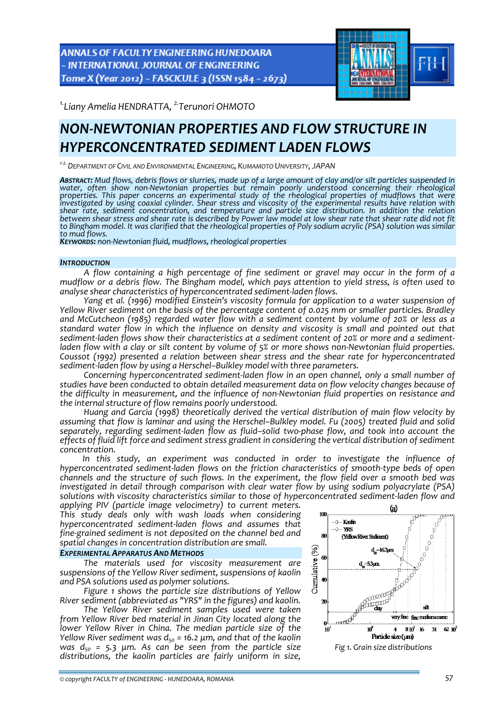**ANNALS OF FACULTY ENGINEERING HUNEDOARA** - INTERNATIONAL JOURNAL OF ENGINEERING Tome X (Year 2012) - FASCICULE 3 (ISSN 1584 - 2673)



*1.Liany Amelia HENDRATTA, 2.Terunori OHMOTO* 

# *NON‐NEWTONIAN PROPERTIES AND FLOW STRUCTURE IN HYPERCONCENTRATED SEDIMENT LADEN FLOWS*

*<sup>1</sup>‐2.DEPARTMENT OF CIVIL AND ENVIRONMENTAL ENGINEERING, KUMAMOTO UNIVERSITY, JAPAN*

ABSTRACT: Mud flows, debris flows or slurries, made up of a large amount of clay and/or silt particles suspended in water, often show non-Newtonian properties but remain poorly understood concerning their rheological<br>properties. This paper concerns an experimental study of the rheological properties of mudflows that were investigated by using coaxial cylinder. Shear stress and viscosity of the experimental results have relation with *shear rate, sediment concentration, and temperature and particle size distribution. In addition the relation* between shear stress and shear rate is described by Power law model at low shear rate that shear rate did not fit to Bingham model. It was clarified that the rheological properties of Poly sodium acrylic (PSA) solution was similar<br>to mud flows.

*KEYWORDS:* non-Newtonian fluid, mudflows, rheological properties

#### *INTRODUCTION*

*A flow containing a high percentage of fine sediment or gravel may occur in the form of a* mudflow or a debris flow. The Bingham model, which pays attention to yield stress, is often used to analyse shear characteristics of hyperconcentrated sediment-laden flows.

Yang et al. (1996) modified Einstein's viscosity formula for application to a water suspension of *Yellow River sediment on the basis of the percentage content of 0.025 mm or smaller particles. Bradley and McCutcheon (1985) regarded water flow with a sediment content by volume of 20% or less as a standard water flow in which the influence on density and viscosity is small and pointed out that* sediment-laden flows show their characteristics at a sediment content of 20% or more and a sedimentladen flow with a clay or silt content by volume of 5% or more shows non-Newtonian fluid properties. *Coussot (1992) presented a relation between shear stress and the shear rate for hyperconcentrated sediment‐laden flow by using a Herschel–Bulkley model with three parameters.* 

*Concerning hyperconcentrated sediment‐laden flow in an open channel, only a small number of studies have been conducted to obtain detailed measurement data on flow velocity changes because of the difficulty in measurement, and the influence of non‐Newtonian fluid properties on resistance and the internal structure of flow remains poorly understood.* 

*Huang and Garcia (1998) theoretically derived the vertical distribution of main flow velocity by assuming that flow is laminar and using the Herschel–Bulkley model. Fu (2005) treated fluid and solid separately, regarding sediment‐laden flow as fluid–solid two‐phase flow, and took into account the effects of fluid lift force and sediment stress gradient in considering the vertical distribution of sediment concentration.*

*In this study, an experiment was conducted in order to investigate the influence of hyperconcentrated sediment‐laden flows on the friction characteristics of smooth‐type beds of open channels and the structure of such flows. In the experiment, the flow field over a smooth bed was investigated in detail through comparison with clear water flow by using sodium polyacrylate (PSA) solutions with viscosity characteristics similar to those of hyperconcentrated sediment‐laden flow and*

*applying PIV (particle image velocimetry) to current meters. This study deals only with wash loads when considering hyperconcentrated sediment‐laden flows and assumes that fine‐grained sediment is not deposited on the channel bed and spatial changes in concentration distribution are small.*

### *EXPERIMENTAL APPARATUS AND METHODS*

*The materials used for viscosity measurement are suspensions of the Yellow River sediment, suspensions of kaolin and PSA solutions used as polymer solutions.* 

*Figure 1 shows the particle size distributions of Yellow River sediment (abbreviated as "YRS" in the figures) and kaolin.*

*The Yellow River sediment samples used were taken from Yellow River bed material in Jinan City located along the lower Yellow River in China. The median particle size of the Yellow River sediment was d50 = 16.2 μm, and that of the kaolin was d50 = 5.3 μm. As can be seen from the particle size distributions, the kaolin particles are fairly uniform in size,*

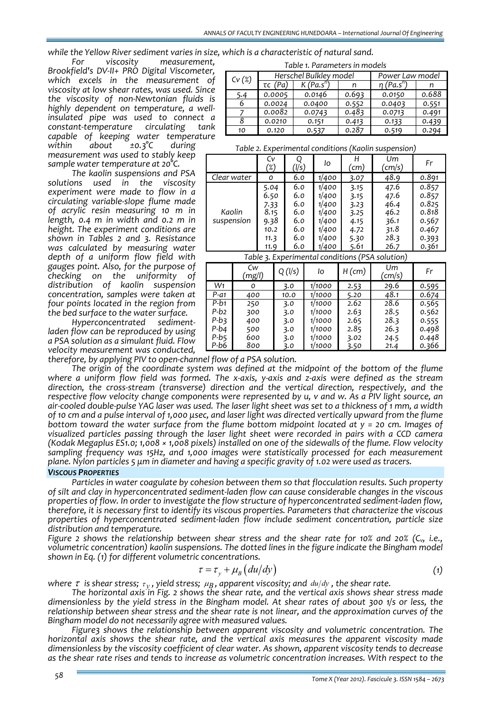while the Yellow River sediment varies in size, which is a characteristic of natural sand.<br>For viscosity measurement.

*Brookfield's DV‐II+ PRO Digital Viscometer, which excels in the measurement of viscosity at low shear rates, was used. Since the viscosity of non‐Newtonian fluids is highly dependent on temperature, <sup>a</sup> well‐ insulated pipe was used to connect <sup>a</sup> constant‐temperature circulating tank capable of keeping water temperature*  $\mathcal{F}$  *±0.3*°C

*measurement was used to stably keep sample water temperature at 20°C.*

*The kaolin suspensions and PSA solutions used in the viscosity experiment were made to flow in a circulating variable‐slope flume made of acrylic resin measuring 10 m in length, 0.4 m in width and 0.2 m in height. The experiment conditions are shown in Tables 2 and 3. Resistance was calculated by measuring water depth of a uniform flow field with gauges point. Also, for the purpose of checking on the uniformity of distribution of kaolin suspension concentration, samples were taken at four points located in the region from the bed surface to the water surface.*

*Haden flow can be reproduced by using a PSA solution as a simulant fluid. Flow velocity* measurement was conducted, *vertiliary velocity* measurement was conducted, *vertiliary vertilization.* 

*Table 1. Parameters in models*

| Cv(%) |               | Herschel Bulkley model | Power Law model |                             |       |
|-------|---------------|------------------------|-----------------|-----------------------------|-------|
|       | $\tau c$ (Pa) | K(Pa.s")               |                 | $\eta$ (Pa.s <sup>n</sup> ) |       |
| 5.4   | 0.0005        | 0.0146                 | 0.693           | 0.0150                      | 0.688 |
|       | 0.0024        | 0.0400                 | 0.552           | 0.0403                      | 0.551 |
|       | 0.0082        | 0.0743                 | 0.483           | 0.0713                      | 0.491 |
|       | 0.0210        | 0.151                  | 0.413           | 0.133                       | 0.439 |
| 10    | 0.120         | 0.537                  | 0.287           | 0.519                       | 0.294 |

*Table 2. Experimental conditions (Kaolin suspension)*

|                      | Cv<br>'%)                                                    | (l/s)                                                | Ιo                                                                   | ้cm)                                                         | Um<br>(cm/s)                                                 | Fr                                                                   |
|----------------------|--------------------------------------------------------------|------------------------------------------------------|----------------------------------------------------------------------|--------------------------------------------------------------|--------------------------------------------------------------|----------------------------------------------------------------------|
| Clear water          | ο                                                            | 6.0                                                  | 1/400                                                                | 3.07                                                         | 48.9                                                         | 0.891                                                                |
| Kaolin<br>suspension | 5.04<br>6.50<br>7.33<br>8.15<br>9.38<br>10.2<br>11.3<br>11.9 | 6.0<br>6.0<br>6.0<br>6.0<br>6.0<br>6.0<br>6.0<br>6.0 | 1/400<br>1/400<br>1/400<br>1/400<br>1/400<br>1/400<br>1/400<br>1/400 | 3.15<br>3.15<br>3.23<br>3.25<br>4.15<br>4.72<br>5.30<br>5.61 | 47.6<br>47.6<br>46.4<br>46.2<br>36.1<br>31.8<br>28.3<br>26.7 | 0.857<br>0.857<br>0.825<br>0.818<br>0.567<br>0.467<br>0.393<br>0.361 |

*Table 3. Experimental conditions (PSA solution)*

|        | Cw<br>(mg/l) | Q (I/s) | lo     | $H$ (cm) | Um<br>(cm/s) | Fr    |
|--------|--------------|---------|--------|----------|--------------|-------|
| W1     | 0            | 3.0     | 1/1000 | 2.53     | 29.6         | 0.595 |
| $P-a1$ | 400          | 10.0    | 1/1000 | 5.20     | 48.1         | 0.674 |
| $P-b1$ | 250          | 3.0     | 1/1000 | 2.62     | 28.6         | 0.565 |
| P-b2   | 300          | 3.0     | 1/1000 | 2.63     | 28.5         | 0.562 |
| P-b3   | 400          | 3.0     | 1/1000 | 2.65     | 28.3         | 0.555 |
| P-b4   | 500          | 3.0     | 1/1000 | 2.85     | 26.3         | 0.498 |
| P-b5   | 600          | 3.0     | 1/1000 | 3.02     | 24.5         | 0.448 |
| P-b6   | 800          | 3.0     | 1/1000 | 3.50     | 21.4         | 0.366 |

The origin of the coordinate system was defined at the midpoint of the bottom of the flume where a uniform flow field was formed. The x-axis, y-axis and z-axis were defined as the stream *direction, the cross‐stream (transverse) direction and the vertical direction, respectively, and the* respective flow velocity change components were represented by u, v and w. As a PIV light source, an air-cooled double-pulse YAG laser was used. The laser light sheet was set to a thickness of 1 mm, a width of 10 cm and a pulse interval of 1,000 usec, and laser light was directed vertically upward from the flume *bottom toward the water surface from the flume bottom midpoint located at y = 20 cm. Images of visualized particles passing through the laser light sheet were recorded in pairs with a CCD camera* (Kodak Megaplus ES1.0; 1,008 × 1,008 pixels) installed on one of the sidewalls of the flume. Flow velocity *sampling frequency was 15Hz, and 1,000 images were statistically processed for each measurement* plane. Nylon particles  $5 \mu m$  in diameter and having a specific gravity of 1.02 were used as tracers.

### *VISCOUS PROPERTIES*

*Particles in water coagulate by cohesion between them so that flocculation results. Such property of silt and clay in hyperconcentrated sediment‐laden flow can cause considerable changes in the viscous properties of flow. In order to investigate the flow structure of hyperconcentrated sediment‐laden flow, therefore, it is necessary first to identify its viscous properties. Parameters that characterize the viscous properties of hyperconcentrated sediment‐laden flow include sediment concentration, particle size distribution and temperature.*

*Figure 2 shows the relationship between shear stress and the shear rate for 10% and 20% (Cv, i.e., volumetric concentration) kaolin suspensions. The dotted lines in the figure indicate the Bingham model shown in Eq. (1) for different volumetric concentrations.*

$$
\tau = \tau_{y} + \mu_{B} (du/dy) \tag{1}
$$

*where*  $\tau$  *is shear stress;*  $\tau_v$ , *yield stress;*  $\mu_B$ , *apparent viscosity; and*  $du/dy$ , the *shear rate.* 

*The horizontal axis in Fig. 2 shows the shear rate, and the vertical axis shows shear stress made* dimensionless by the yield stress in the Bingham model. At shear rates of about 300 1/s or less, the *relationship between shear stress and the shear rate is not linear, and the approximation curves of the*

Bingham model do not necessarily agree with measured values.<br>Figure3 shows the relationship between apparent viscosity and volumetric concentration. The *horizontal axis shows the shear rate, and the vertical axis measures the apparent viscosity made dimensionless by the viscosity coefficient of clear water. As shown, apparent viscosity tends to decrease as the shear rate rises and tends to increase as volumetric concentration increases. With respect to the*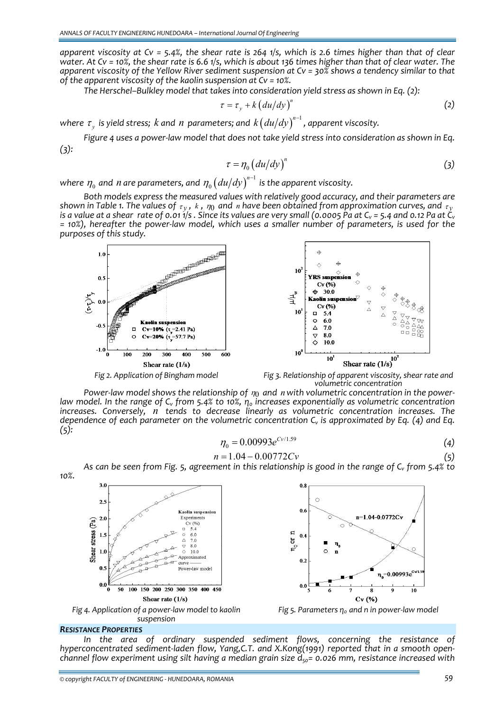apparent viscosity at  $Cy = 5.4\%$ , the shear rate is 264 1/s, which is 2.6 times higher than that of clear water. At  $Cv = 10\%$ , the shear rate is 6.6 1/s, which is about 136 times higher than that of clear water. The apparent viscosity of the Yellow River sediment suspension at  $Cv = 30\%$  shows a tendency similar to that *of the apparent viscosity of the kaolin suspension at Cv = 10%.*

*The Herschel–Bulkley model that takes into consideration yield stress as shown in Eq. (2):* 

$$
\tau = \tau_{y} + k \left( \frac{du}{dy} \right)^{n} \tag{2}
$$

 $w$ here  $\tau_{_{\mathcal{Y}}}$  is yield stress;  $k$  and  $n$  parameters; and  $k \big( d u / d y \big)^{n-1}$  , apparent viscosity.

Figure 4 uses a power-law model that does not take yield stress into consideration as shown in Eq. *(3):*

$$
\tau = \eta_0 \left( du/dy \right)^n \tag{3}
$$

where  $\eta_{_0}$  and *n* are parameters, and  $\eta_{_0}\big( du/dy\big)^{^{n-1}}$  $\eta_0 \left( \frac{du}{dy} \right)^{n-1}$  is the apparent viscosity.

*Both models express the measured values with relatively good accuracy, and their parameters are* shown in Table 1. The values of  $\tau_v$ , k,  $\eta_0$  and n have been obtained from approximation curves, and  $\tau_v$ is a value at a shear rate of 0.011/s. Since its values are very small (0.0005 Pa at  $C_v$  = 5.4 and 0.12 Pa at  $\dot{C}_v$ = 10%), hereafter the power-law model, which uses a smaller number of parameters, is used for the *purposes of this study.*



*volumetric concentration*

*Power‐law model shows the relationship of* <sup>η</sup>0 *and n with volumetric concentration in the power‐* law model. In the range of  $C_v$  from 5.4% to 10%,  $\eta_o$  increases exponentially as volumetric concentration *increases. Conversely, n tends to decrease linearly as volumetric concentration increases. The dependence of each parameter on the volumetric concentration Cv is approximated by Eq. (4) and Eq. (5):*

$$
\eta_0 = 0.00993e^{C_V/1.59} \tag{4}
$$

$$
n = 1.04 - 0.00772Cv \tag{5}
$$

As can be seen from Fig. 5, agreement in this relationship is good in the range of  $C_v$  from 5.4% to



*Fig 4. Application of a power‐law model to kaolin suspension*

#### *RESISTANCE PROPERTIES*

*10%.*

*In the area of ordinary suspended sediment flows, concerning the resistance of hyperconcentrated sediment‐laden flow, Yang,C.T. and X.Kong(1991) reported that in a smooth open‐ channel flow experiment using silt having a median grain size*  $d_{50}$ = 0.026 *mm, resistance increased with* 

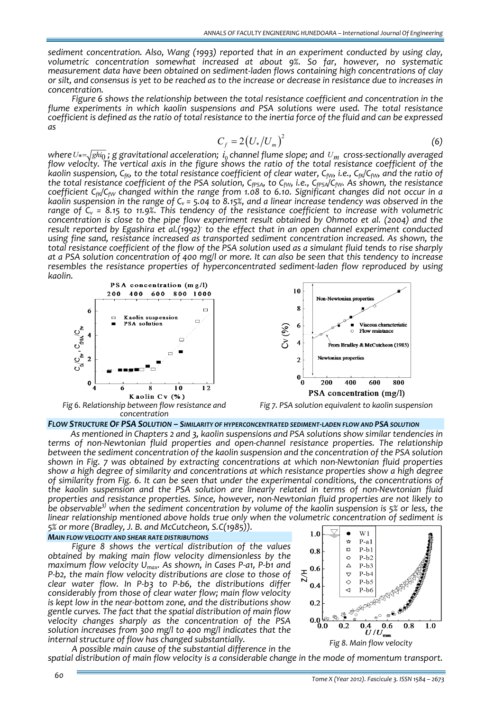*sediment concentration. Also, Wang (1993) reported that in an experiment conducted by using clay, volumetric concentration somewhat increased at about 9%. So far, however, no systematic measurement data have been obtained on sediment‐laden flows containing high concentrations of clay* or silt, and consensus is yet to be reached as to the increase or decrease in resistance due to increases in *concentration.*

*Figure 6 shows the relationship between the total resistance coefficient and concentration in the flume experiments in which kaolin suspensions and PSA solutions were used. The total resistance* coefficient is defined as the ratio of total resistance to the inertia force of the fluid and can be expressed *as*

$$
C_f = 2\left(U_*/U_m\right)^2\tag{6}
$$

 $w$ here $\,U*=\sqrt{ghi_0}$  ;  $g$  gravitational acceleration;  $\,i_0$  channel flume slope; and  $\,U_m\,$  cross-sectionally averaged flow velocity. The vertical axis in the figure shows the ratio of the total resistance coefficient of the kaolin suspension, C<sub>fK</sub>, to the total resistance coefficient of clear water, C<sub>fW</sub>, i.e., C<sub>fK</sub>/C<sub>fW</sub>, and the ratio of the total resistance coefficient of the PSA solution, C<sub>fPSA</sub>, to C<sub>fw</sub>, i.e., C<sub>fPSA</sub>/C<sub>fw</sub>. As shown, the resistance *coefficient CfK/CfW changed within the range from 1.08 to 6.10. Significant changes did not occur in a* kaolin suspension in the range of  $C_v$  = 5.04 to 8.15%, and a linear increase tendency was observed in the *range of Cv = 8.15 to 11.9%. This tendency of the resistance coefficient to increase with volumetric concentration is close to the pipe flow experiment result obtained by Ohmoto et al. (2004) and the result reported by Egashira et al.(1992). to the effect that in an open channel experiment conducted using fine sand, resistance increased as transported sediment concentration increased. As shown, the* total resistance coefficient of the flow of the PSA solution used as a simulant fluid tends to rise sharply at a PSA solution concentration of 400 mg/l or more. It can also be seen that this tendency to increase *resembles the resistance properties of hyperconcentrated sediment‐laden flow reproduced by using kaolin.* 



*concentration*





*FLOW STRUCTURE OF PSA SOLUTION – SIMILARITY OF HYPERCONCENTRATED SEDIMENT‐LADEN FLOW AND PSA SOLUTION*

*As mentioned in Chapters 2 and 3, kaolin suspensions and PSA solutions show similar tendencies in terms of non‐Newtonian fluid properties and open‐channel resistance properties. The relationship between the sediment concentration of the kaolin suspension and the concentration of the PSA solution shown in Fig. 7 was obtained by extracting concentrations at which non‐Newtonian fluid properties show a high degree of similarity and concentrations at which resistance properties show a high degree of similarity from Fig. 6. It can be seen that under the experimental conditions, the concentrations of the kaolin suspension and the PSA solution are linearly related in terms of non‐Newtonian fluid properties and resistance properties. Since, however, non‐Newtonian fluid properties are not likely to be observable3) when the sediment concentration by volume of the kaolin suspension is 5% or less, the linear relationship mentioned above holds true only when the volumetric concentration of sediment is 5% or more (Bradley, J. B. and McCutcheon, S.C(1985)).*

#### *MAIN FLOW VELOCITY AND SHEAR RATE DISTRIBUTIONS*

*Figure 8 shows the vertical distribution of the values obtained by making main flow velocity dimensionless by the maximum flow velocity Umax. As shown, in Cases P‐a1, P‐b1 and P‐b2, the main flow velocity distributions are close to those of clear water flow. In P‐b3 to P‐b6, the distributions differ considerably from those of clear water flow; main flow velocity is kept low in the near‐bottom zone, and the distributions show gentle curves. The fact that the spatial distribution of main flow velocity changes sharply as the concentration of the PSA solution increases from 300 mg/l to 400 mg/l indicates that the internal structure of flow has changed substantially.*



*A possible main cause of the substantial difference in the spatial distribution of main flow velocity is a considerable change in the mode of momentum transport.*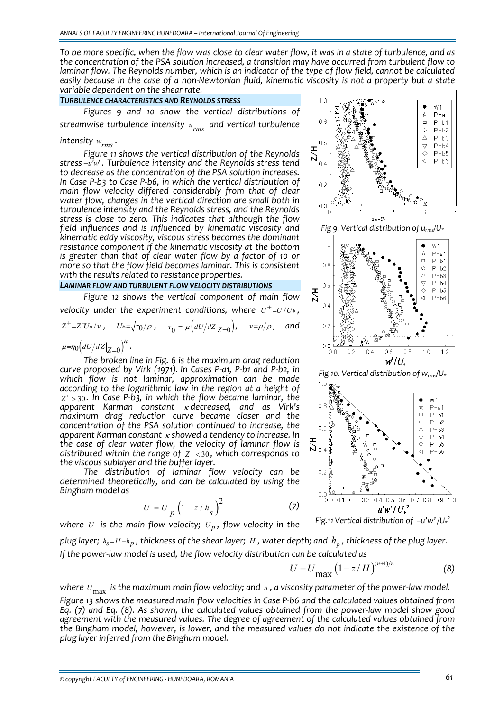To be more specific, when the flow was close to clear water flow, it was in a state of turbulence, and as *the concentration of the PSA solution increased, a transition may have occurred from turbulent flow to* laminar flow. The Reynolds number, which is an indicator of the type of flow field, cannot be calculated easily because in the case of a non-Newtonian fluid, kinematic viscosity is not a property but a state *variable dependent on the shear rate.*

### *TURBULENCE CHARACTERISTICS AND REYNOLDS STRESS*

*Figures 9 and 10 show the vertical distributions of streamwise turbulence intensity urms and vertical turbulence*

## *intensity*  $w_{rms}$ .

*Figure 11 shows the vertical distribution of the Reynolds stress* −*u w*′ ′ *. Turbulence intensity and the Reynolds stress tend to decrease as the concentration of the PSA solution increases. In Case P‐b3 to Case P‐b6, in which the vertical distribution of main flow velocity differed considerably from that of clear water flow, changes in the vertical direction are small both in turbulence intensity and the Reynolds stress, and the Reynolds stress is close to zero. This indicates that although the flow field influences and is influenced by kinematic viscosity and kinematic eddy viscosity, viscous stress becomes the dominant resistance component if the kinematic viscosity at the bottom is greater than that of clear water flow by a factor of 10 or more so that the flow field becomes laminar. This is consistent with the results related to resistance properties.*

#### *LAMINAR FLOW AND TURBULENT FLOW VELOCITY DISTRIBUTIONS*

*Figure 12 shows the vertical component of main flow velocity under the experiment conditions, where*  $U^+ = U/U^*$ ,

$$
Z^{+} = Z \square \star / \nu , \qquad U^{*} = \sqrt{\tau_{0} / \rho} , \qquad \tau_{0} = \mu \left( dU / dZ \big|_{Z=0} \right), \qquad \nu = \mu / \rho , \qquad \text{and}
$$

$$
\mu = \eta_{0} \left( dU / dZ \big|_{Z=0} \right)^{n} .
$$

*The broken line in Fig. 6 is the maximum drag reduction curve proposed by Virk (1971). In Cases P‐a1, P‐b1 and P‐b2, in which flow is not laminar, approximation can be made according to the logarithmic law in the region at a height of*  $Z^* > 30$ . In Case P-b3, in which the flow became laminar, the *apparent Karman constant* <sup>κ</sup> *decreased, and as Virk's maximum drag reduction curve became closer and the concentration of the PSA solution continued to increase, the apparent Karman constant* <sup>κ</sup> *showed a tendency to increase. In the case of clear water flow, the velocity of laminar flow is distributed* within the range of  $Z^* < 30$ , which corresponds to *the viscous sublayer and the buffer layer.*

*The distribution of laminar flow velocity can be determined theoretically, and can be calculated by using the Bingham model as*

$$
U = U_p \left(1 - z / h_s\right)^2 \tag{7}
$$

*where U* is the main flow velocity;  $U_p$ , flow velocity in the

*Fig 9. Vertical distribution of urms/U\**



*Fig 10. Vertical distribution of wrms/U\**



*Fig.11 Vertical distribution of –u'w' /U\* 2*

plug layer;  $h_s = H - h_p$ , thickness of the shear layer; H, water depth; and  $h_a$ , thickness of the plug layer. *If the power‐law model is used, the flow velocity distribution can be calculated as*

$$
U = U_{\text{max}} \left( 1 - z / H \right)^{(n+1)/n}
$$
 (8)

where  $U_{\text{max}}$  is the maximum main flow velocity; and  $n$ , a viscosity parameter of the power-law model. Figure 13 shows the measured main flow velocities in Case P-b6 and the calculated values obtained from Eq.  $(7)$  and Eq.  $(8)$ . As shown, the calculated values obtained from the power-law model show good *agreement with the measured values. The degree of agreement of the calculated values obtained from the Bingham model, however, is lower, and the measured values do not indicate the existence of the plug layer inferred from the Bingham model.*